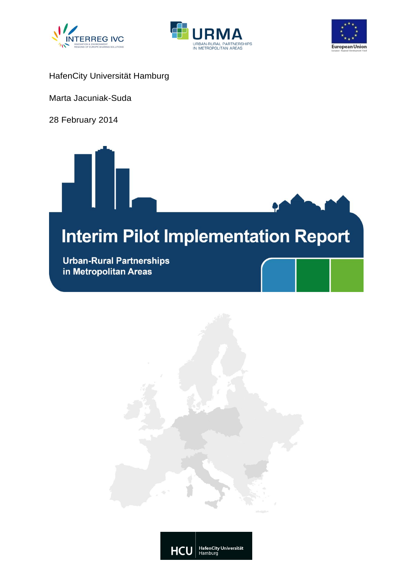





HafenCity Universität Hamburg

Marta Jacuniak-Suda

28 February 2014



**Urban-Rural Partnerships** in Metropolitan Areas



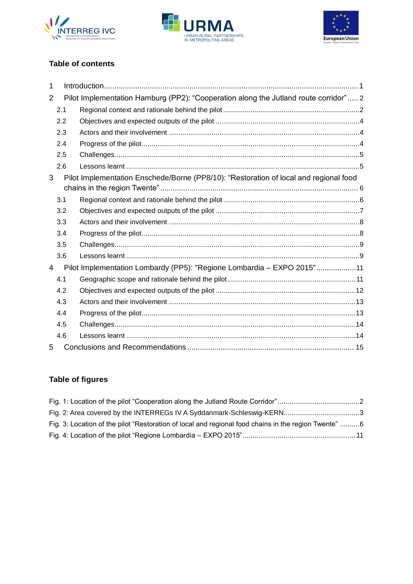





# **Table of contents**

| 1              |     |                                                                                       |  |
|----------------|-----|---------------------------------------------------------------------------------------|--|
| $\overline{2}$ |     | Pilot Implementation Hamburg (PP2): "Cooperation along the Jutland route corridor" 2  |  |
|                | 2.1 |                                                                                       |  |
|                | 2.2 |                                                                                       |  |
|                | 2.3 |                                                                                       |  |
|                | 2.4 |                                                                                       |  |
|                | 2.5 |                                                                                       |  |
|                | 2.6 |                                                                                       |  |
| 3              |     | Pilot Implementation Enschede/Borne (PP8/10): "Restoration of local and regional food |  |
|                | 3.1 |                                                                                       |  |
|                | 3.2 |                                                                                       |  |
|                | 3.3 |                                                                                       |  |
|                | 3.4 |                                                                                       |  |
|                | 3.5 |                                                                                       |  |
|                | 3.6 |                                                                                       |  |
| $\overline{4}$ |     | Pilot Implementation Lombardy (PP5): "Regione Lombardia - EXPO 2015"11                |  |
|                | 4.1 |                                                                                       |  |
|                | 4.2 |                                                                                       |  |
|                | 4.3 |                                                                                       |  |
|                | 4.4 |                                                                                       |  |
|                | 4.5 |                                                                                       |  |
|                | 4.6 |                                                                                       |  |
| 5              |     |                                                                                       |  |

# **Table of figures**

| Fig. 3: Location of the pilot "Restoration of local and regional food chains in the region Twente" 6 |  |
|------------------------------------------------------------------------------------------------------|--|
|                                                                                                      |  |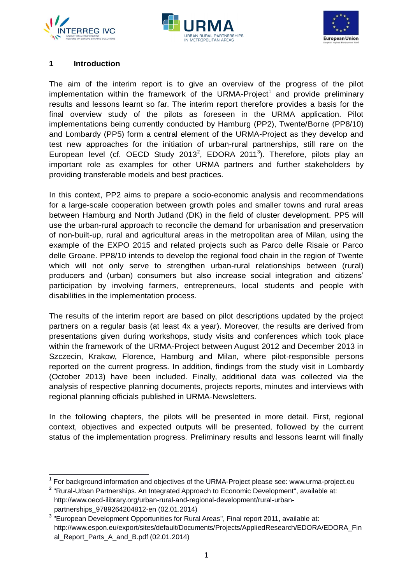





## <span id="page-2-0"></span>**1 Introduction**

 $\overline{a}$ 

The aim of the interim report is to give an overview of the progress of the pilot implementation within the framework of the URMA-Project<sup>1</sup> and provide preliminary results and lessons learnt so far. The interim report therefore provides a basis for the final overview study of the pilots as foreseen in the URMA application. Pilot implementations being currently conducted by Hamburg (PP2), Twente/Borne (PP8/10) and Lombardy (PP5) form a central element of the URMA-Project as they develop and test new approaches for the initiation of urban-rural partnerships, still rare on the European level (cf. OECD Study 2013<sup>2</sup>, EDORA 2011<sup>3</sup>). Therefore, pilots play an important role as examples for other URMA partners and further stakeholders by providing transferable models and best practices.

In this context, PP2 aims to prepare a socio-economic analysis and recommendations for a large-scale cooperation between growth poles and smaller towns and rural areas between Hamburg and North Jutland (DK) in the field of cluster development. PP5 will use the urban-rural approach to reconcile the demand for urbanisation and preservation of non-built-up, rural and agricultural areas in the metropolitan area of Milan, using the example of the EXPO 2015 and related projects such as Parco delle Risaie or Parco delle Groane. PP8/10 intends to develop the regional food chain in the region of Twente which will not only serve to strengthen urban-rural relationships between (rural) producers and (urban) consumers but also increase social integration and citizens' participation by involving farmers, entrepreneurs, local students and people with disabilities in the implementation process.

The results of the interim report are based on pilot descriptions updated by the project partners on a regular basis (at least 4x a year). Moreover, the results are derived from presentations given during workshops, study visits and conferences which took place within the framework of the URMA-Project between August 2012 and December 2013 in Szczecin, Krakow, Florence, Hamburg and Milan, where pilot-responsible persons reported on the current progress. In addition, findings from the study visit in Lombardy (October 2013) have been included. Finally, additional data was collected via the analysis of respective planning documents, projects reports, minutes and interviews with regional planning officials published in URMA-Newsletters.

In the following chapters, the pilots will be presented in more detail. First, regional context, objectives and expected outputs will be presented, followed by the current status of the implementation progress. Preliminary results and lessons learnt will finally

<sup>1</sup> For background information and objectives of the URMA-Project please see: www.urma-project.eu

 $2$  "Rural-Urban Partnerships. An Integrated Approach to Economic Development", available at: http://www.oecd-ilibrary.org/urban-rural-and-regional-development/rural-urbanpartnerships\_9789264204812-en (02.01.2014)

 $3$  "European Development Opportunities for Rural Areas", Final report 2011, available at: http://www.espon.eu/export/sites/default/Documents/Projects/AppliedResearch/EDORA/EDORA\_Fin al Report Parts A and B.pdf (02.01.2014)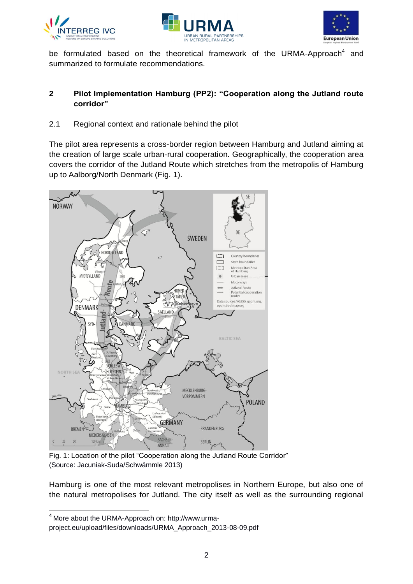





be formulated based on the theoretical framework of the URMA-Approach<sup>4</sup> and summarized to formulate recommendations.

# <span id="page-3-0"></span>**2 Pilot Implementation Hamburg (PP2): "Cooperation along the Jutland route corridor"**

<span id="page-3-1"></span>2.1 Regional context and rationale behind the pilot

The pilot area represents a cross-border region between Hamburg and Jutland aiming at the creation of large scale urban-rural cooperation. Geographically, the cooperation area covers the corridor of the Jutland Route which stretches from the metropolis of Hamburg up to Aalborg/North Denmark (Fig. 1).



<span id="page-3-2"></span>Fig. 1: Location of the pilot "Cooperation along the Jutland Route Corridor" (Source: Jacuniak-Suda/Schwämmle 2013)

Hamburg is one of the most relevant metropolises in Northern Europe, but also one of the natural metropolises for Jutland. The city itself as well as the surrounding regional

 $\overline{a}$ 

<sup>4</sup> More about the URMA-Approach on: http://www.urma-

project.eu/upload/files/downloads/URMA\_Approach\_2013-08-09.pdf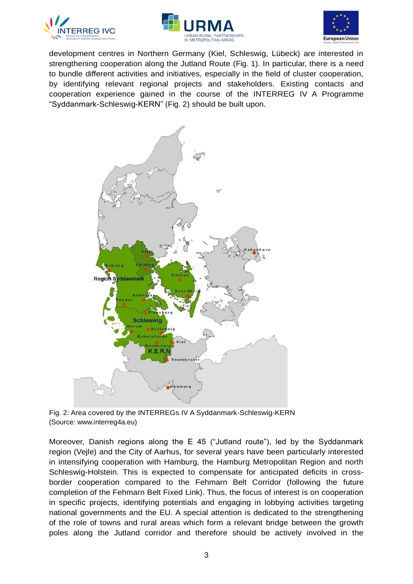





development centres in Northern Germany (Kiel, Schleswig, Lübeck) are interested in strengthening cooperation along the Jutland Route [\(Fig. 1\)](#page-3-2). In particular, there is a need to bundle different activities and initiatives, especially in the field of cluster cooperation, by identifying relevant regional projects and stakeholders. Existing contacts and cooperation experience gained in the course of the INTERREG IV A Programme "Syddanmark-Schleswig-KERN" [\(Fig. 2\)](#page-4-0) should be built upon.



<span id="page-4-0"></span>Fig. 2: Area covered by the INTERREGs IV A Syddanmark-Schleswig-KERN (Source: www.interreg4a.eu)

Moreover, Danish regions along the E 45 ("Jutland route"), led by the Syddanmark region (Vejle) and the City of Aarhus, for several years have been particularly interested in intensifying cooperation with Hamburg, the Hamburg Metropolitan Region and north Schleswig-Holstein. This is expected to compensate for anticipated deficits in crossborder cooperation compared to the Fehmarn Belt Corridor (following the future completion of the Fehmarn Belt Fixed Link). Thus, the focus of interest is on cooperation in specific projects, identifying potentials and engaging in lobbying activities targeting national governments and the EU. A special attention is dedicated to the strengthening of the role of towns and rural areas which form a relevant bridge between the growth poles along the Jutland corridor and therefore should be actively involved in the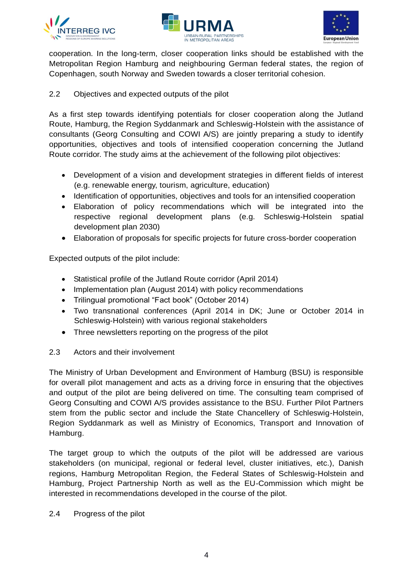





cooperation. In the long-term, closer cooperation links should be established with the Metropolitan Region Hamburg and neighbouring German federal states, the region of Copenhagen, south Norway and Sweden towards a closer territorial cohesion.

## <span id="page-5-0"></span>2.2 Objectives and expected outputs of the pilot

As a first step towards identifying potentials for closer cooperation along the Jutland Route, Hamburg, the Region Syddanmark and Schleswig-Holstein with the assistance of consultants (Georg Consulting and COWI A/S) are jointly preparing a study to identify opportunities, objectives and tools of intensified cooperation concerning the Jutland Route corridor. The study aims at the achievement of the following pilot objectives:

- Development of a vision and development strategies in different fields of interest (e.g. renewable energy, tourism, agriculture, education)
- Identification of opportunities, objectives and tools for an intensified cooperation
- Elaboration of policy recommendations which will be integrated into the respective regional development plans (e.g. Schleswig-Holstein spatial development plan 2030)
- Elaboration of proposals for specific projects for future cross-border cooperation

Expected outputs of the pilot include:

- Statistical profile of the Jutland Route corridor (April 2014)
- Implementation plan (August 2014) with policy recommendations
- Trilingual promotional "Fact book" (October 2014)
- Two transnational conferences (April 2014 in DK; June or October 2014 in Schleswig-Holstein) with various regional stakeholders
- Three newsletters reporting on the progress of the pilot

### <span id="page-5-1"></span>2.3 Actors and their involvement

The Ministry of Urban Development and Environment of Hamburg (BSU) is responsible for overall pilot management and acts as a driving force in ensuring that the objectives and output of the pilot are being delivered on time. The consulting team comprised of Georg Consulting and COWI A/S provides assistance to the BSU. Further Pilot Partners stem from the public sector and include the State Chancellery of Schleswig-Holstein, Region Syddanmark as well as Ministry of Economics, Transport and Innovation of Hamburg.

The target group to which the outputs of the pilot will be addressed are various stakeholders (on municipal, regional or federal level, cluster initiatives, etc.), Danish regions, Hamburg Metropolitan Region, the Federal States of Schleswig-Holstein and Hamburg, Project Partnership North as well as the EU-Commission which might be interested in recommendations developed in the course of the pilot.

### <span id="page-5-2"></span>2.4 Progress of the pilot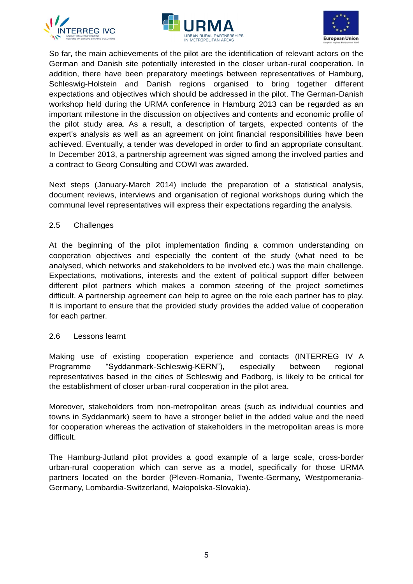





So far, the main achievements of the pilot are the identification of relevant actors on the German and Danish site potentially interested in the closer urban-rural cooperation. In addition, there have been preparatory meetings between representatives of Hamburg, Schleswig-Holstein and Danish regions organised to bring together different expectations and objectives which should be addressed in the pilot. The German-Danish workshop held during the URMA conference in Hamburg 2013 can be regarded as an important milestone in the discussion on objectives and contents and economic profile of the pilot study area. As a result, a description of targets, expected contents of the expert's analysis as well as an agreement on joint financial responsibilities have been achieved. Eventually, a tender was developed in order to find an appropriate consultant. In December 2013, a partnership agreement was signed among the involved parties and a contract to Georg Consulting and COWI was awarded.

Next steps (January-March 2014) include the preparation of a statistical analysis, document reviews, interviews and organisation of regional workshops during which the communal level representatives will express their expectations regarding the analysis.

### <span id="page-6-0"></span>2.5 Challenges

At the beginning of the pilot implementation finding a common understanding on cooperation objectives and especially the content of the study (what need to be analysed, which networks and stakeholders to be involved etc.) was the main challenge. Expectations, motivations, interests and the extent of political support differ between different pilot partners which makes a common steering of the project sometimes difficult. A partnership agreement can help to agree on the role each partner has to play. It is important to ensure that the provided study provides the added value of cooperation for each partner.

### <span id="page-6-1"></span>2.6 Lessons learnt

Making use of existing cooperation experience and contacts (INTERREG IV A Programme "Syddanmark-Schleswig-KERN"), especially between regional representatives based in the cities of Schleswig and Padborg, is likely to be critical for the establishment of closer urban-rural cooperation in the pilot area.

Moreover, stakeholders from non-metropolitan areas (such as individual counties and towns in Syddanmark) seem to have a stronger belief in the added value and the need for cooperation whereas the activation of stakeholders in the metropolitan areas is more difficult.

The Hamburg-Jutland pilot provides a good example of a large scale, cross-border urban-rural cooperation which can serve as a model, specifically for those URMA partners located on the border (Pleven-Romania, Twente-Germany, Westpomerania-Germany, Lombardia-Switzerland, Małopolska-Slovakia).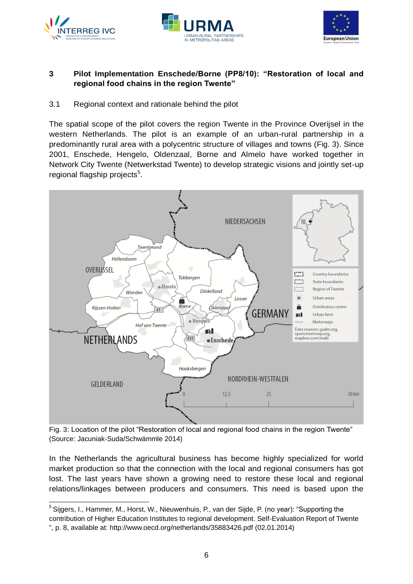





# <span id="page-7-0"></span>**3 Pilot Implementation Enschede/Borne (PP8/10): "Restoration of local and regional food chains in the region Twente"**

<span id="page-7-1"></span>3.1 Regional context and rationale behind the pilot

The spatial scope of the pilot covers the region Twente in the Province Overijsel in the western Netherlands. The pilot is an example of an urban-rural partnership in a predominantly rural area with a polycentric structure of villages and towns [\(Fig. 3\)](#page-7-2). Since 2001, Enschede, Hengelo, Oldenzaal, Borne and Almelo have worked together in Network City Twente (Netwerkstad Twente) to develop strategic visions and jointly set-up regional flagship projects<sup>5</sup>.



<span id="page-7-2"></span>Fig. 3: Location of the pilot "Restoration of local and regional food chains in the region Twente" (Source: Jacuniak-Suda/Schwämmle 2014)

In the Netherlands the agricultural business has become highly specialized for world market production so that the connection with the local and regional consumers has got lost. The last years have shown a growing need to restore these local and regional relations/linkages between producers and consumers. This need is based upon the

 <sup>5</sup> Sijgers, I., Hammer, M., Horst, W., Nieuwenhuis, P., van der Sijde, P. (no year): "Supporting the contribution of Higher Education Institutes to regional development. Self-Evaluation Report of Twente ", p. 8, available at: http://www.oecd.org/netherlands/35883426.pdf (02.01.2014)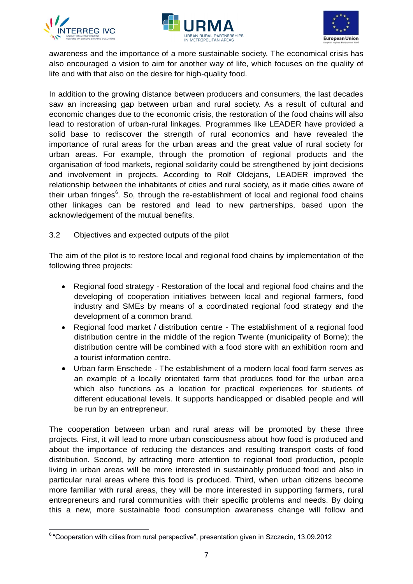





awareness and the importance of a more sustainable society. The economical crisis has also encouraged a vision to aim for another way of life, which focuses on the quality of life and with that also on the desire for high-quality food.

In addition to the growing distance between producers and consumers, the last decades saw an increasing gap between urban and rural society. As a result of cultural and economic changes due to the economic crisis, the restoration of the food chains will also lead to restoration of urban-rural linkages. Programmes like LEADER have provided a solid base to rediscover the strength of rural economics and have revealed the importance of rural areas for the urban areas and the great value of rural society for urban areas. For example, through the promotion of regional products and the organisation of food markets, regional solidarity could be strengthened by joint decisions and involvement in projects. According to Rolf Oldejans, LEADER improved the relationship between the inhabitants of cities and rural society, as it made cities aware of their urban fringes<sup>6</sup>. So, through the re-establishment of local and regional food chains other linkages can be restored and lead to new partnerships, based upon the acknowledgement of the mutual benefits.

<span id="page-8-0"></span>3.2 Objectives and expected outputs of the pilot

The aim of the pilot is to restore local and regional food chains by implementation of the following three projects:

- Regional food strategy Restoration of the local and regional food chains and the developing of cooperation initiatives between local and regional farmers, food industry and SMEs by means of a coordinated regional food strategy and the development of a common brand.
- Regional food market / distribution centre The establishment of a regional food distribution centre in the middle of the region Twente (municipality of Borne); the distribution centre will be combined with a food store with an exhibition room and a tourist information centre.
- Urban farm Enschede The establishment of a modern local food farm serves as an example of a locally orientated farm that produces food for the urban area which also functions as a location for practical experiences for students of different educational levels. It supports handicapped or disabled people and will be run by an entrepreneur.

The cooperation between urban and rural areas will be promoted by these three projects. First, it will lead to more urban consciousness about how food is produced and about the importance of reducing the distances and resulting transport costs of food distribution. Second, by attracting more attention to regional food production, people living in urban areas will be more interested in sustainably produced food and also in particular rural areas where this food is produced. Third, when urban citizens become more familiar with rural areas, they will be more interested in supporting farmers, rural entrepreneurs and rural communities with their specific problems and needs. By doing this a new, more sustainable food consumption awareness change will follow and

 <sup>6</sup> "Cooperation with cities from rural perspective", presentation given in Szczecin, 13.09.2012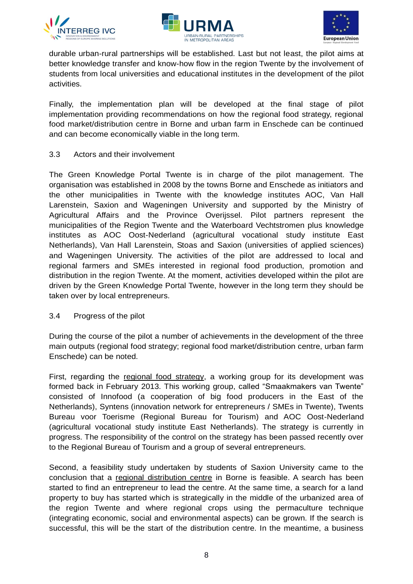





durable urban-rural partnerships will be established. Last but not least, the pilot aims at better knowledge transfer and know-how flow in the region Twente by the involvement of students from local universities and educational institutes in the development of the pilot activities.

Finally, the implementation plan will be developed at the final stage of pilot implementation providing recommendations on how the regional food strategy, regional food market/distribution centre in Borne and urban farm in Enschede can be continued and can become economically viable in the long term.

<span id="page-9-0"></span>3.3 Actors and their involvement

The Green Knowledge Portal Twente is in charge of the pilot management. The organisation was established in 2008 by the towns Borne and Enschede as initiators and the other municipalities in Twente with the knowledge institutes AOC, Van Hall Larenstein, Saxion and Wageningen University and supported by the Ministry of Agricultural Affairs and the Province Overijssel. Pilot partners represent the municipalities of the Region Twente and the Waterboard Vechtstromen plus knowledge institutes as AOC Oost-Nederland (agricultural vocational study institute East Netherlands), Van Hall Larenstein, Stoas and Saxion (universities of applied sciences) and Wageningen University. The activities of the pilot are addressed to local and regional farmers and SMEs interested in regional food production, promotion and distribution in the region Twente. At the moment, activities developed within the pilot are driven by the Green Knowledge Portal Twente, however in the long term they should be taken over by local entrepreneurs.

### <span id="page-9-1"></span>3.4 Progress of the pilot

During the course of the pilot a number of achievements in the development of the three main outputs (regional food strategy; regional food market/distribution centre, urban farm Enschede) can be noted.

First, regarding the regional food strategy, a working group for its development was formed back in February 2013. This working group, called "Smaakmakers van Twente" consisted of Innofood (a cooperation of big food producers in the East of the Netherlands), Syntens (innovation network for entrepreneurs / SMEs in Twente), Twents Bureau voor Toerisme (Regional Bureau for Tourism) and AOC Oost-Nederland (agricultural vocational study institute East Netherlands). The strategy is currently in progress. The responsibility of the control on the strategy has been passed recently over to the Regional Bureau of Tourism and a group of several entrepreneurs.

Second, a feasibility study undertaken by students of Saxion University came to the conclusion that a regional distribution centre in Borne is feasible. A search has been started to find an entrepreneur to lead the centre. At the same time, a search for a land property to buy has started which is strategically in the middle of the urbanized area of the region Twente and where regional crops using the permaculture technique (integrating economic, social and environmental aspects) can be grown. If the search is successful, this will be the start of the distribution centre. In the meantime, a business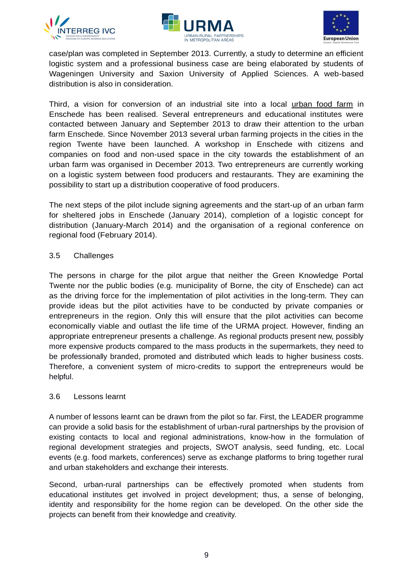





case/plan was completed in September 2013. Currently, a study to determine an efficient logistic system and a professional business case are being elaborated by students of Wageningen University and Saxion University of Applied Sciences. A web-based distribution is also in consideration.

Third, a vision for conversion of an industrial site into a local urban food farm in Enschede has been realised. Several entrepreneurs and educational institutes were contacted between January and September 2013 to draw their attention to the urban farm Enschede. Since November 2013 several urban farming projects in the cities in the region Twente have been launched. A workshop in Enschede with citizens and companies on food and non-used space in the city towards the establishment of an urban farm was organised in December 2013. Two entrepreneurs are currently working on a logistic system between food producers and restaurants. They are examining the possibility to start up a distribution cooperative of food producers.

The next steps of the pilot include signing agreements and the start-up of an urban farm for sheltered jobs in Enschede (January 2014), completion of a logistic concept for distribution (January-March 2014) and the organisation of a regional conference on regional food (February 2014).

## <span id="page-10-0"></span>3.5 Challenges

The persons in charge for the pilot argue that neither the Green Knowledge Portal Twente nor the public bodies (e.g. municipality of Borne, the city of Enschede) can act as the driving force for the implementation of pilot activities in the long-term. They can provide ideas but the pilot activities have to be conducted by private companies or entrepreneurs in the region. Only this will ensure that the pilot activities can become economically viable and outlast the life time of the URMA project. However, finding an appropriate entrepreneur presents a challenge. As regional products present new, possibly more expensive products compared to the mass products in the supermarkets, they need to be professionally branded, promoted and distributed which leads to higher business costs. Therefore, a convenient system of micro-credits to support the entrepreneurs would be helpful.

### <span id="page-10-1"></span>3.6 Lessons learnt

A number of lessons learnt can be drawn from the pilot so far. First, the LEADER programme can provide a solid basis for the establishment of urban-rural partnerships by the provision of existing contacts to local and regional administrations, know-how in the formulation of regional development strategies and projects, SWOT analysis, seed funding, etc. Local events (e.g. food markets, conferences) serve as exchange platforms to bring together rural and urban stakeholders and exchange their interests.

Second, urban-rural partnerships can be effectively promoted when students from educational institutes get involved in project development; thus, a sense of belonging, identity and responsibility for the home region can be developed. On the other side the projects can benefit from their knowledge and creativity.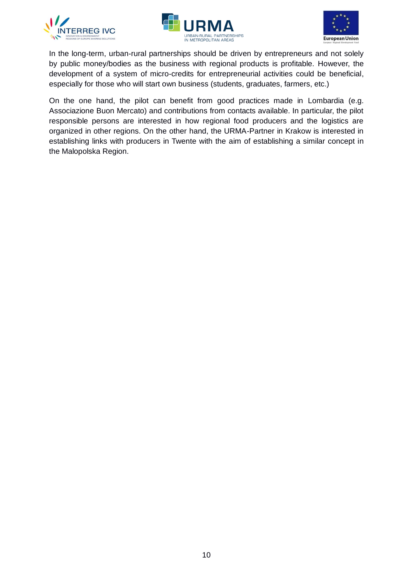





In the long-term, urban-rural partnerships should be driven by entrepreneurs and not solely by public money/bodies as the business with regional products is profitable. However, the development of a system of micro-credits for entrepreneurial activities could be beneficial, especially for those who will start own business (students, graduates, farmers, etc.)

On the one hand, the pilot can benefit from good practices made in Lombardia (e.g. Associazione Buon Mercato) and contributions from contacts available. In particular, the pilot responsible persons are interested in how regional food producers and the logistics are organized in other regions. On the other hand, the URMA-Partner in Krakow is interested in establishing links with producers in Twente with the aim of establishing a similar concept in the Malopolska Region.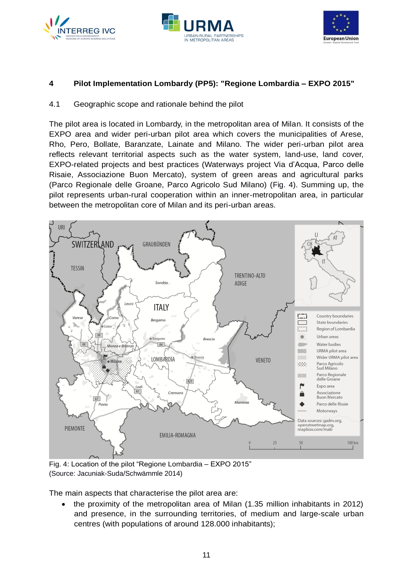





# <span id="page-12-0"></span>**4 Pilot Implementation Lombardy (PP5): "Regione Lombardia – EXPO 2015"**

## <span id="page-12-1"></span>4.1 Geographic scope and rationale behind the pilot

The pilot area is located in Lombardy, in the metropolitan area of Milan. It consists of the EXPO area and wider peri-urban pilot area which covers the municipalities of Arese, Rho, Pero, Bollate, Baranzate, Lainate and Milano. The wider peri-urban pilot area reflects relevant territorial aspects such as the water system, land-use, land cover, EXPO-related projects and best practices (Waterways project Via d'Acqua, Parco delle Risaie, Associazione Buon Mercato), system of green areas and agricultural parks (Parco Regionale delle Groane, Parco Agricolo Sud Milano) [\(Fig. 4\)](#page-12-2). Summing up, the pilot represents urban-rural cooperation within an inner-metropolitan area, in particular between the metropolitan core of Milan and its peri-urban areas.



<span id="page-12-2"></span>Fig. 4: Location of the pilot "Regione Lombardia – EXPO 2015" (Source: Jacuniak-Suda/Schwämmle 2014)

The main aspects that characterise the pilot area are:

 the proximity of the metropolitan area of Milan (1.35 million inhabitants in 2012) and presence, in the surrounding territories, of medium and large-scale urban centres (with populations of around 128.000 inhabitants);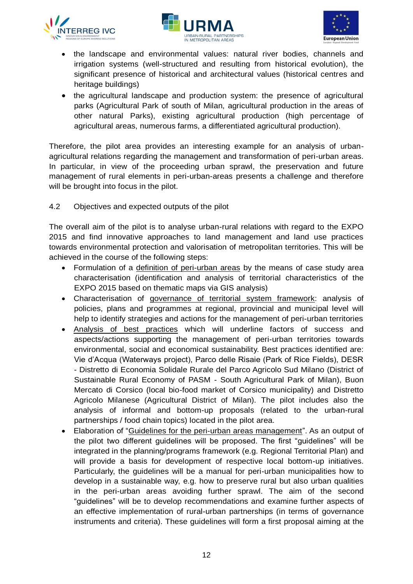





- the landscape and environmental values: natural river bodies, channels and irrigation systems (well-structured and resulting from historical evolution), the significant presence of historical and architectural values (historical centres and heritage buildings)
- the agricultural landscape and production system: the presence of agricultural parks (Agricultural Park of south of Milan, agricultural production in the areas of other natural Parks), existing agricultural production (high percentage of agricultural areas, numerous farms, a differentiated agricultural production).

Therefore, the pilot area provides an interesting example for an analysis of urbanagricultural relations regarding the management and transformation of peri-urban areas. In particular, in view of the proceeding urban sprawl, the preservation and future management of rural elements in peri-urban-areas presents a challenge and therefore will be brought into focus in the pilot.

<span id="page-13-0"></span>4.2 Objectives and expected outputs of the pilot

The overall aim of the pilot is to analyse urban-rural relations with regard to the EXPO 2015 and find innovative approaches to land management and land use practices towards environmental protection and valorisation of metropolitan territories. This will be achieved in the course of the following steps:

- Formulation of a definition of peri-urban areas by the means of case study area characterisation (identification and analysis of territorial characteristics of the EXPO 2015 based on thematic maps via GIS analysis)
- Characterisation of governance of territorial system framework: analysis of policies, plans and programmes at regional, provincial and municipal level will help to identify strategies and actions for the management of peri-urban territories
- Analysis of best practices which will underline factors of success and aspects/actions supporting the management of peri-urban territories towards environmental, social and economical sustainability. Best practices identified are: Vie d'Acqua (Waterways project), Parco delle Risaie (Park of Rice Fields), DESR - Distretto di Economia Solidale Rurale del Parco Agricolo Sud Milano (District of Sustainable Rural Economy of PASM - South Agricultural Park of Milan), Buon Mercato di Corsico (local bio-food market of Corsico municipality) and Distretto Agricolo Milanese (Agricultural District of Milan). The pilot includes also the analysis of informal and bottom-up proposals (related to the urban-rural partnerships / food chain topics) located in the pilot area.
- Elaboration of "Guidelines for the peri-urban areas management". As an output of the pilot two different guidelines will be proposed. The first "guidelines" will be integrated in the planning/programs framework (e.g. Regional Territorial Plan) and will provide a basis for development of respective local bottom-up initiatives. Particularly, the guidelines will be a manual for peri-urban municipalities how to develop in a sustainable way, e.g. how to preserve rural but also urban qualities in the peri-urban areas avoiding further sprawl. The aim of the second "guidelines" will be to develop recommendations and examine further aspects of an effective implementation of rural-urban partnerships (in terms of governance instruments and criteria). These guidelines will form a first proposal aiming at the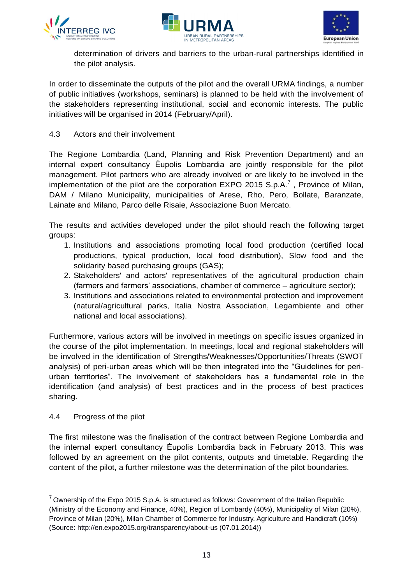





determination of drivers and barriers to the urban-rural partnerships identified in the pilot analysis.

In order to disseminate the outputs of the pilot and the overall URMA findings, a number of public initiatives (workshops, seminars) is planned to be held with the involvement of the stakeholders representing institutional, social and economic interests. The public initiatives will be organised in 2014 (February/April).

<span id="page-14-0"></span>4.3 Actors and their involvement

The Regione Lombardia (Land, Planning and Risk Prevention Department) and an internal expert consultancy Ėupolis Lombardia are jointly responsible for the pilot management. Pilot partners who are already involved or are likely to be involved in the implementation of the pilot are the corporation EXPO 2015 S.p.A.<sup>7</sup>, Province of Milan, DAM / Milano Municipality, municipalities of Arese, Rho, Pero, Bollate, Baranzate, Lainate and Milano, Parco delle Risaie, Associazione Buon Mercato.

The results and activities developed under the pilot should reach the following target groups:

- 1. Institutions and associations promoting local food production (certified local productions, typical production, local food distribution), Slow food and the solidarity based purchasing groups (GAS);
- 2. Stakeholders' and actors' representatives of the agricultural production chain (farmers and farmers' associations, chamber of commerce – agriculture sector);
- 3. Institutions and associations related to environmental protection and improvement (natural/agricultural parks, Italia Nostra Association, Legambiente and other national and local associations).

Furthermore, various actors will be involved in meetings on specific issues organized in the course of the pilot implementation. In meetings, local and regional stakeholders will be involved in the identification of Strengths/Weaknesses/Opportunities/Threats (SWOT analysis) of peri-urban areas which will be then integrated into the "Guidelines for periurban territories". The involvement of stakeholders has a fundamental role in the identification (and analysis) of best practices and in the process of best practices sharing.

# <span id="page-14-1"></span>4.4 Progress of the pilot

 $\overline{a}$ 

The first milestone was the finalisation of the contract between Regione Lombardia and the internal expert consultancy Ėupolis Lombardia back in February 2013. This was followed by an agreement on the pilot contents, outputs and timetable. Regarding the content of the pilot, a further milestone was the determination of the pilot boundaries.

 $7$  Ownership of the Expo 2015 S.p.A. is structured as follows: Government of the Italian Republic (Ministry of the Economy and Finance, 40%), Region of Lombardy (40%), Municipality of Milan (20%), Province of Milan (20%), Milan Chamber of Commerce for Industry, Agriculture and Handicraft (10%) (Source: http://en.expo2015.org/transparency/about-us (07.01.2014))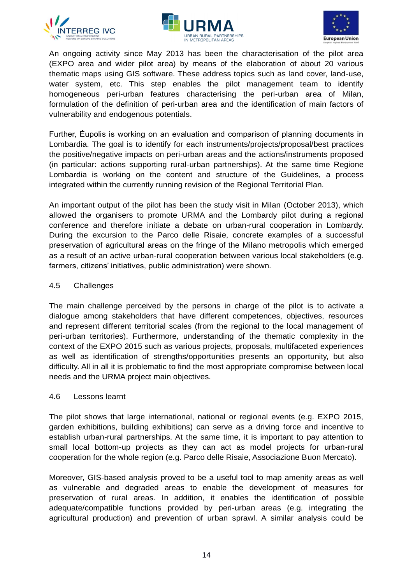





An ongoing activity since May 2013 has been the characterisation of the pilot area (EXPO area and wider pilot area) by means of the elaboration of about 20 various thematic maps using GIS software. These address topics such as land cover, land-use, water system, etc. This step enables the pilot management team to identify homogeneous peri-urban features characterising the peri-urban area of Milan, formulation of the definition of peri-urban area and the identification of main factors of vulnerability and endogenous potentials.

Further, Ėupolis is working on an evaluation and comparison of planning documents in Lombardia. The goal is to identify for each instruments/projects/proposal/best practices the positive/negative impacts on peri-urban areas and the actions/instruments proposed (in particular: actions supporting rural-urban partnerships). At the same time Regione Lombardia is working on the content and structure of the Guidelines, a process integrated within the currently running revision of the Regional Territorial Plan.

An important output of the pilot has been the study visit in Milan (October 2013), which allowed the organisers to promote URMA and the Lombardy pilot during a regional conference and therefore initiate a debate on urban-rural cooperation in Lombardy. During the excursion to the Parco delle Risaie, concrete examples of a successful preservation of agricultural areas on the fringe of the Milano metropolis which emerged as a result of an active urban-rural cooperation between various local stakeholders (e.g. farmers, citizens' initiatives, public administration) were shown.

## <span id="page-15-0"></span>4.5 Challenges

The main challenge perceived by the persons in charge of the pilot is to activate a dialogue among stakeholders that have different competences, objectives, resources and represent different territorial scales (from the regional to the local management of peri-urban territories). Furthermore, understanding of the thematic complexity in the context of the EXPO 2015 such as various projects, proposals, multifaceted experiences as well as identification of strengths/opportunities presents an opportunity, but also difficulty. All in all it is problematic to find the most appropriate compromise between local needs and the URMA project main objectives.

### <span id="page-15-1"></span>4.6 Lessons learnt

The pilot shows that large international, national or regional events (e.g. EXPO 2015, garden exhibitions, building exhibitions) can serve as a driving force and incentive to establish urban-rural partnerships. At the same time, it is important to pay attention to small local bottom-up projects as they can act as model projects for urban-rural cooperation for the whole region (e.g. Parco delle Risaie, Associazione Buon Mercato).

Moreover, GIS-based analysis proved to be a useful tool to map amenity areas as well as vulnerable and degraded areas to enable the development of measures for preservation of rural areas. In addition, it enables the identification of possible adequate/compatible functions provided by peri-urban areas (e.g. integrating the agricultural production) and prevention of urban sprawl. A similar analysis could be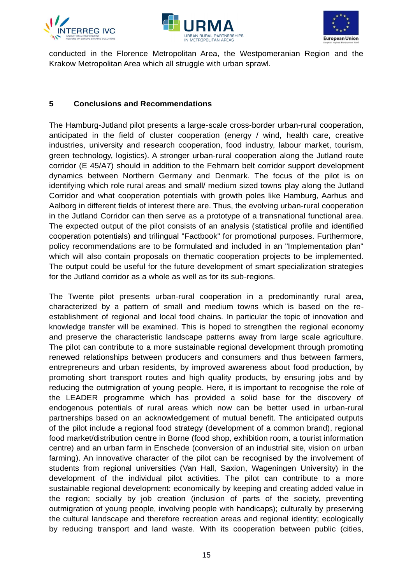





conducted in the Florence Metropolitan Area, the Westpomeranian Region and the Krakow Metropolitan Area which all struggle with urban sprawl.

## <span id="page-16-0"></span>**5 Conclusions and Recommendations**

The Hamburg-Jutland pilot presents a large-scale cross-border urban-rural cooperation, anticipated in the field of cluster cooperation (energy / wind, health care, creative industries, university and research cooperation, food industry, labour market, tourism, green technology, logistics). A stronger urban-rural cooperation along the Jutland route corridor (E 45/A7) should in addition to the Fehmarn belt corridor support development dynamics between Northern Germany and Denmark. The focus of the pilot is on identifying which role rural areas and small/ medium sized towns play along the Jutland Corridor and what cooperation potentials with growth poles like Hamburg, Aarhus and Aalborg in different fields of interest there are. Thus, the evolving urban-rural cooperation in the Jutland Corridor can then serve as a prototype of a transnational functional area. The expected output of the pilot consists of an analysis (statistical profile and identified cooperation potentials) and trilingual "Factbook" for promotional purposes. Furthermore, policy recommendations are to be formulated and included in an "Implementation plan" which will also contain proposals on thematic cooperation projects to be implemented. The output could be useful for the future development of smart specialization strategies for the Jutland corridor as a whole as well as for its sub-regions.

The Twente pilot presents urban-rural cooperation in a predominantly rural area, characterized by a pattern of small and medium towns which is based on the reestablishment of regional and local food chains. In particular the topic of innovation and knowledge transfer will be examined. This is hoped to strengthen the regional economy and preserve the characteristic landscape patterns away from large scale agriculture. The pilot can contribute to a more sustainable regional development through promoting renewed relationships between producers and consumers and thus between farmers, entrepreneurs and urban residents, by improved awareness about food production, by promoting short transport routes and high quality products, by ensuring jobs and by reducing the outmigration of young people. Here, it is important to recognise the role of the LEADER programme which has provided a solid base for the discovery of endogenous potentials of rural areas which now can be better used in urban-rural partnerships based on an acknowledgement of mutual benefit. The anticipated outputs of the pilot include a regional food strategy (development of a common brand), regional food market/distribution centre in Borne (food shop, exhibition room, a tourist information centre) and an urban farm in Enschede (conversion of an industrial site, vision on urban farming). An innovative character of the pilot can be recognised by the involvement of students from regional universities (Van Hall, Saxion, Wageningen University) in the development of the individual pilot activities. The pilot can contribute to a more sustainable regional development: economically by keeping and creating added value in the region; socially by job creation (inclusion of parts of the society, preventing outmigration of young people, involving people with handicaps); culturally by preserving the cultural landscape and therefore recreation areas and regional identity; ecologically by reducing transport and land waste. With its cooperation between public (cities,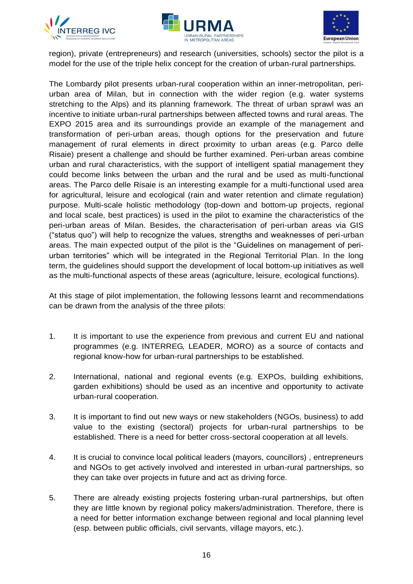





region), private (entrepreneurs) and research (universities, schools) sector the pilot is a model for the use of the triple helix concept for the creation of urban-rural partnerships.

The Lombardy pilot presents urban-rural cooperation within an inner-metropolitan, periurban area of Milan, but in connection with the wider region (e.g. water systems stretching to the Alps) and its planning framework. The threat of urban sprawl was an incentive to initiate urban-rural partnerships between affected towns and rural areas. The EXPO 2015 area and its surroundings provide an example of the management and transformation of peri-urban areas, though options for the preservation and future management of rural elements in direct proximity to urban areas (e.g. Parco delle Risaie) present a challenge and should be further examined. Peri-urban areas combine urban and rural characteristics, with the support of intelligent spatial management they could become links between the urban and the rural and be used as multi-functional areas. The Parco delle Risaie is an interesting example for a multi-functional used area for agricultural, leisure and ecological (rain and water retention and climate regulation) purpose. Multi-scale holistic methodology (top-down and bottom-up projects, regional and local scale, best practices) is used in the pilot to examine the characteristics of the peri-urban areas of Milan. Besides, the characterisation of peri-urban areas via GIS ("status quo") will help to recognize the values, strengths and weaknesses of peri-urban areas. The main expected output of the pilot is the "Guidelines on management of periurban territories" which will be integrated in the Regional Territorial Plan. In the long term, the guidelines should support the development of local bottom-up initiatives as well as the multi-functional aspects of these areas (agriculture, leisure, ecological functions).

At this stage of pilot implementation, the following lessons learnt and recommendations can be drawn from the analysis of the three pilots:

- 1. It is important to use the experience from previous and current EU and national programmes (e.g. INTERREG, LEADER, MORO) as a source of contacts and regional know-how for urban-rural partnerships to be established.
- 2. International, national and regional events (e.g. EXPOs, building exhibitions, garden exhibitions) should be used as an incentive and opportunity to activate urban-rural cooperation.
- 3. It is important to find out new ways or new stakeholders (NGOs, business) to add value to the existing (sectoral) projects for urban-rural partnerships to be established. There is a need for better cross-sectoral cooperation at all levels.
- 4. It is crucial to convince local political leaders (mayors, councillors) , entrepreneurs and NGOs to get actively involved and interested in urban-rural partnerships, so they can take over projects in future and act as driving force.
- 5. There are already existing projects fostering urban-rural partnerships, but often they are little known by regional policy makers/administration. Therefore, there is a need for better information exchange between regional and local planning level (esp. between public officials, civil servants, village mayors, etc.).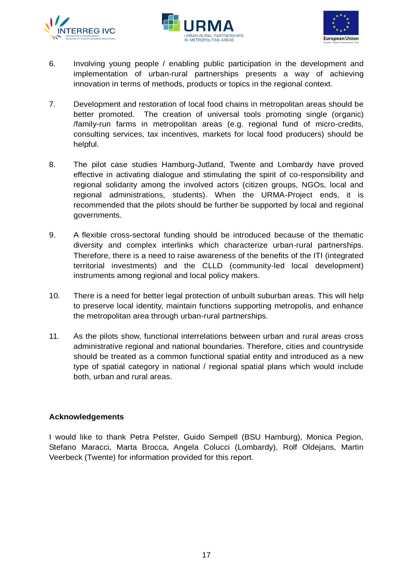





- 6. Involving young people / enabling public participation in the development and implementation of urban-rural partnerships presents a way of achieving innovation in terms of methods, products or topics in the regional context.
- 7. Development and restoration of local food chains in metropolitan areas should be better promoted. The creation of universal tools promoting single (organic) /family-run farms in metropolitan areas (e.g. regional fund of micro-credits, consulting services, tax incentives, markets for local food producers) should be helpful.
- 8. The pilot case studies Hamburg-Jutland, Twente and Lombardy have proved effective in activating dialogue and stimulating the spirit of co-responsibility and regional solidarity among the involved actors (citizen groups, NGOs, local and regional administrations, students). When the URMA-Project ends, it is recommended that the pilots should be further be supported by local and regional governments.
- 9. A flexible cross-sectoral funding should be introduced because of the thematic diversity and complex interlinks which characterize urban-rural partnerships. Therefore, there is a need to raise awareness of the benefits of the ITI (integrated territorial investments) and the CLLD (community-led local development) instruments among regional and local policy makers.
- 10. There is a need for better legal protection of unbuilt suburban areas. This will help to preserve local identity, maintain functions supporting metropolis, and enhance the metropolitan area through urban-rural partnerships.
- 11. As the pilots show, functional interrelations between urban and rural areas cross administrative regional and national boundaries. Therefore, cities and countryside should be treated as a common functional spatial entity and introduced as a new type of spatial category in national / regional spatial plans which would include both, urban and rural areas.

# **Acknowledgements**

I would like to thank Petra Pelster, Guido Sempell (BSU Hamburg), Monica Pegion, Stefano Maracci, Marta Brocca, Angela Colucci (Lombardy), Rolf Oldejans, Martin Veerbeck (Twente) for information provided for this report.